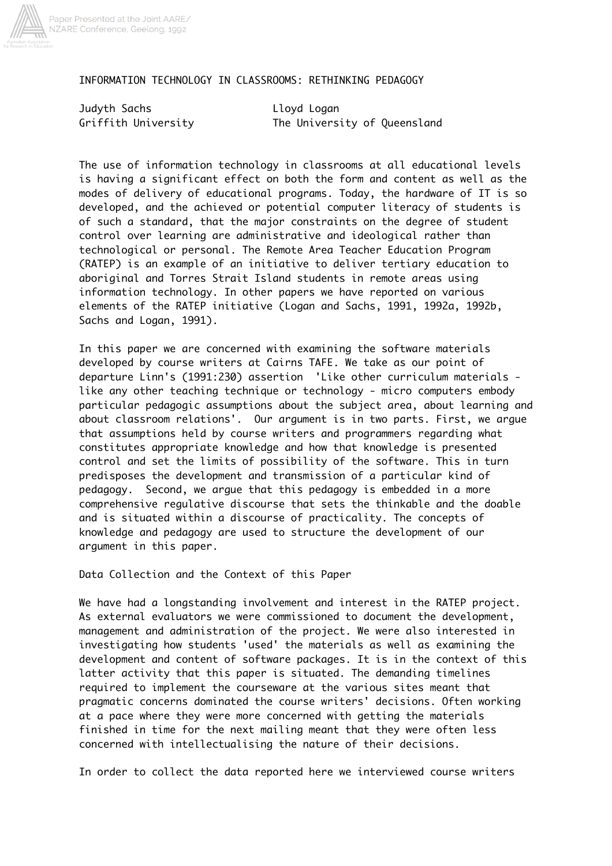

#### INFORMATION TECHNOLOGY IN CLASSROOMS: RETHINKING PEDAGOGY

Judyth Sachs Lloyd Logan

Griffith University The University of Queensland

The use of information technology in classrooms at all educational levels is having a significant effect on both the form and content as well as the modes of delivery of educational programs. Today, the hardware of IT is so developed, and the achieved or potential computer literacy of students is of such a standard, that the major constraints on the degree of student control over learning are administrative and ideological rather than technological or personal. The Remote Area Teacher Education Program (RATEP) is an example of an initiative to deliver tertiary education to aboriginal and Torres Strait Island students in remote areas using information technology. In other papers we have reported on various elements of the RATEP initiative (Logan and Sachs, 1991, 1992a, 1992b, Sachs and Logan, 1991).

In this paper we are concerned with examining the software materials developed by course writers at Cairns TAFE. We take as our point of departure Linn's (1991:230) assertion 'Like other curriculum materials like any other teaching technique or technology - micro computers embody particular pedagogic assumptions about the subject area, about learning and about classroom relations'. Our argument is in two parts. First, we argue that assumptions held by course writers and programmers regarding what constitutes appropriate knowledge and how that knowledge is presented control and set the limits of possibility of the software. This in turn predisposes the development and transmission of a particular kind of pedagogy. Second, we argue that this pedagogy is embedded in a more comprehensive regulative discourse that sets the thinkable and the doable and is situated within a discourse of practicality. The concepts of knowledge and pedagogy are used to structure the development of our argument in this paper.

Data Collection and the Context of this Paper

We have had a longstanding involvement and interest in the RATEP project. As external evaluators we were commissioned to document the development, management and administration of the project. We were also interested in investigating how students 'used' the materials as well as examining the development and content of software packages. It is in the context of this latter activity that this paper is situated. The demanding timelines required to implement the courseware at the various sites meant that pragmatic concerns dominated the course writers' decisions. Often working at a pace where they were more concerned with getting the materials finished in time for the next mailing meant that they were often less concerned with intellectualising the nature of their decisions.

In order to collect the data reported here we interviewed course writers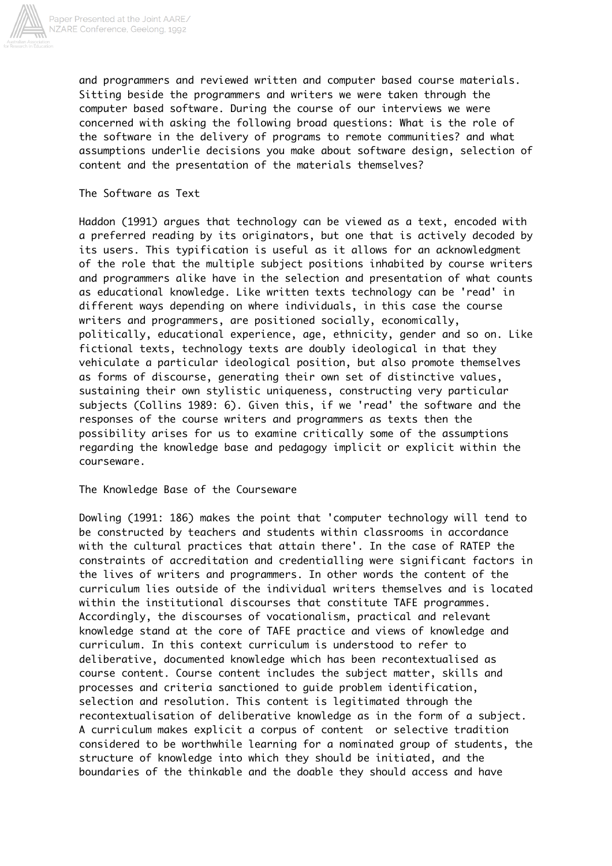

and programmers and reviewed written and computer based course materials. Sitting beside the programmers and writers we were taken through the computer based software. During the course of our interviews we were concerned with asking the following broad questions: What is the role of the software in the delivery of programs to remote communities? and what assumptions underlie decisions you make about software design, selection of content and the presentation of the materials themselves?

The Software as Text

Haddon (1991) argues that technology can be viewed as a text, encoded with a preferred reading by its originators, but one that is actively decoded by its users. This typification is useful as it allows for an acknowledgment of the role that the multiple subject positions inhabited by course writers and programmers alike have in the selection and presentation of what counts as educational knowledge. Like written texts technology can be 'read' in different ways depending on where individuals, in this case the course writers and programmers, are positioned socially, economically, politically, educational experience, age, ethnicity, gender and so on. Like fictional texts, technology texts are doubly ideological in that they vehiculate a particular ideological position, but also promote themselves as forms of discourse, generating their own set of distinctive values, sustaining their own stylistic uniqueness, constructing very particular subjects (Collins 1989: 6). Given this, if we 'read' the software and the responses of the course writers and programmers as texts then the possibility arises for us to examine critically some of the assumptions regarding the knowledge base and pedagogy implicit or explicit within the courseware.

The Knowledge Base of the Courseware

Dowling (1991: 186) makes the point that 'computer technology will tend to be constructed by teachers and students within classrooms in accordance with the cultural practices that attain there'. In the case of RATEP the constraints of accreditation and credentialling were significant factors in the lives of writers and programmers. In other words the content of the curriculum lies outside of the individual writers themselves and is located within the institutional discourses that constitute TAFE programmes. Accordingly, the discourses of vocationalism, practical and relevant knowledge stand at the core of TAFE practice and views of knowledge and curriculum. In this context curriculum is understood to refer to deliberative, documented knowledge which has been recontextualised as course content. Course content includes the subject matter, skills and processes and criteria sanctioned to guide problem identification, selection and resolution. This content is legitimated through the recontextualisation of deliberative knowledge as in the form of a subject. A curriculum makes explicit a corpus of content or selective tradition considered to be worthwhile learning for a nominated group of students, the structure of knowledge into which they should be initiated, and the boundaries of the thinkable and the doable they should access and have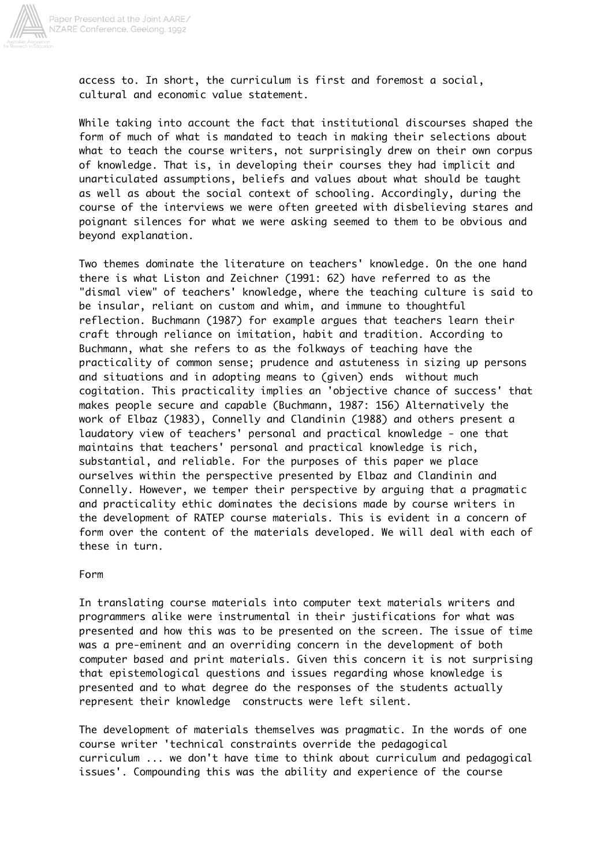

access to. In short, the curriculum is first and foremost a social, cultural and economic value statement.

While taking into account the fact that institutional discourses shaped the form of much of what is mandated to teach in making their selections about what to teach the course writers, not surprisingly drew on their own corpus of knowledge. That is, in developing their courses they had implicit and unarticulated assumptions, beliefs and values about what should be taught as well as about the social context of schooling. Accordingly, during the course of the interviews we were often greeted with disbelieving stares and poignant silences for what we were asking seemed to them to be obvious and beyond explanation.

Two themes dominate the literature on teachers' knowledge. On the one hand there is what Liston and Zeichner (1991: 62) have referred to as the "dismal view" of teachers' knowledge, where the teaching culture is said to be insular, reliant on custom and whim, and immune to thoughtful reflection. Buchmann (1987) for example argues that teachers learn their craft through reliance on imitation, habit and tradition. According to Buchmann, what she refers to as the folkways of teaching have the practicality of common sense; prudence and astuteness in sizing up persons and situations and in adopting means to (given) ends without much cogitation. This practicality implies an 'objective chance of success' that makes people secure and capable (Buchmann, 1987: 156) Alternatively the work of Elbaz (1983), Connelly and Clandinin (1988) and others present a laudatory view of teachers' personal and practical knowledge - one that maintains that teachers' personal and practical knowledge is rich, substantial, and reliable. For the purposes of this paper we place ourselves within the perspective presented by Elbaz and Clandinin and Connelly. However, we temper their perspective by arguing that a pragmatic and practicality ethic dominates the decisions made by course writers in the development of RATEP course materials. This is evident in a concern of form over the content of the materials developed. We will deal with each of these in turn.

#### Form

In translating course materials into computer text materials writers and programmers alike were instrumental in their justifications for what was presented and how this was to be presented on the screen. The issue of time was a pre-eminent and an overriding concern in the development of both computer based and print materials. Given this concern it is not surprising that epistemological questions and issues regarding whose knowledge is presented and to what degree do the responses of the students actually represent their knowledge constructs were left silent.

The development of materials themselves was pragmatic. In the words of one course writer 'technical constraints override the pedagogical curriculum ... we don't have time to think about curriculum and pedagogical issues'. Compounding this was the ability and experience of the course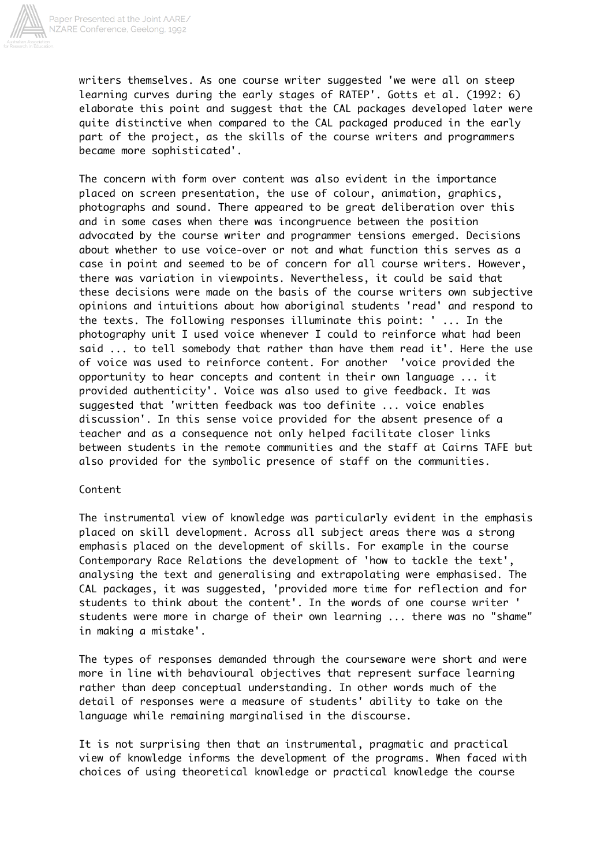

writers themselves. As one course writer suggested 'we were all on steep learning curves during the early stages of RATEP'. Gotts et al. (1992: 6) elaborate this point and suggest that the CAL packages developed later were quite distinctive when compared to the CAL packaged produced in the early part of the project, as the skills of the course writers and programmers became more sophisticated'.

The concern with form over content was also evident in the importance placed on screen presentation, the use of colour, animation, graphics, photographs and sound. There appeared to be great deliberation over this and in some cases when there was incongruence between the position advocated by the course writer and programmer tensions emerged. Decisions about whether to use voice-over or not and what function this serves as a case in point and seemed to be of concern for all course writers. However, there was variation in viewpoints. Nevertheless, it could be said that these decisions were made on the basis of the course writers own subjective opinions and intuitions about how aboriginal students 'read' and respond to the texts. The following responses illuminate this point: ' ... In the photography unit I used voice whenever I could to reinforce what had been said ... to tell somebody that rather than have them read it'. Here the use of voice was used to reinforce content. For another 'voice provided the opportunity to hear concepts and content in their own language ... it provided authenticity'. Voice was also used to give feedback. It was suggested that 'written feedback was too definite ... voice enables discussion'. In this sense voice provided for the absent presence of a teacher and as a consequence not only helped facilitate closer links between students in the remote communities and the staff at Cairns TAFE but also provided for the symbolic presence of staff on the communities.

## Content

The instrumental view of knowledge was particularly evident in the emphasis placed on skill development. Across all subject areas there was a strong emphasis placed on the development of skills. For example in the course Contemporary Race Relations the development of 'how to tackle the text', analysing the text and generalising and extrapolating were emphasised. The CAL packages, it was suggested, 'provided more time for reflection and for students to think about the content'. In the words of one course writer ' students were more in charge of their own learning ... there was no "shame" in making a mistake'.

The types of responses demanded through the courseware were short and were more in line with behavioural objectives that represent surface learning rather than deep conceptual understanding. In other words much of the detail of responses were a measure of students' ability to take on the language while remaining marginalised in the discourse.

It is not surprising then that an instrumental, pragmatic and practical view of knowledge informs the development of the programs. When faced with choices of using theoretical knowledge or practical knowledge the course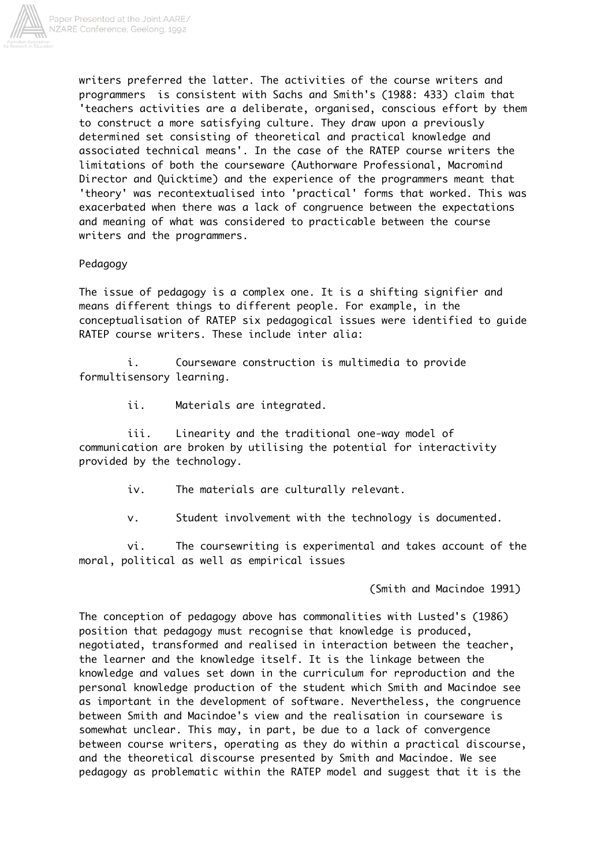

writers preferred the latter. The activities of the course writers and programmers is consistent with Sachs and Smith's (1988: 433) claim that 'teachers activities are a deliberate, organised, conscious effort by them to construct a more satisfying culture. They draw upon a previously determined set consisting of theoretical and practical knowledge and associated technical means'. In the case of the RATEP course writers the limitations of both the courseware (Authorware Professional, Macromind Director and Quicktime) and the experience of the programmers meant that 'theory' was recontextualised into 'practical' forms that worked. This was exacerbated when there was a lack of congruence between the expectations and meaning of what was considered to practicable between the course writers and the programmers.

## Pedagogy

The issue of pedagogy is a complex one. It is a shifting signifier and means different things to different people. For example, in the conceptualisation of RATEP six pedagogical issues were identified to guide RATEP course writers. These include inter alia:

i. Courseware construction is multimedia to provide formultisensory learning.

ii. Materials are integrated.

iii. Linearity and the traditional one-way model of communication are broken by utilising the potential for interactivity provided by the technology.

iv. The materials are culturally relevant.

v. Student involvement with the technology is documented.

vi. The coursewriting is experimental and takes account of the moral, political as well as empirical issues

(Smith and Macindoe 1991)

The conception of pedagogy above has commonalities with Lusted's (1986) position that pedagogy must recognise that knowledge is produced, negotiated, transformed and realised in interaction between the teacher, the learner and the knowledge itself. It is the linkage between the knowledge and values set down in the curriculum for reproduction and the personal knowledge production of the student which Smith and Macindoe see as important in the development of software. Nevertheless, the congruence between Smith and Macindoe's view and the realisation in courseware is somewhat unclear. This may, in part, be due to a lack of convergence between course writers, operating as they do within a practical discourse, and the theoretical discourse presented by Smith and Macindoe. We see pedagogy as problematic within the RATEP model and suggest that it is the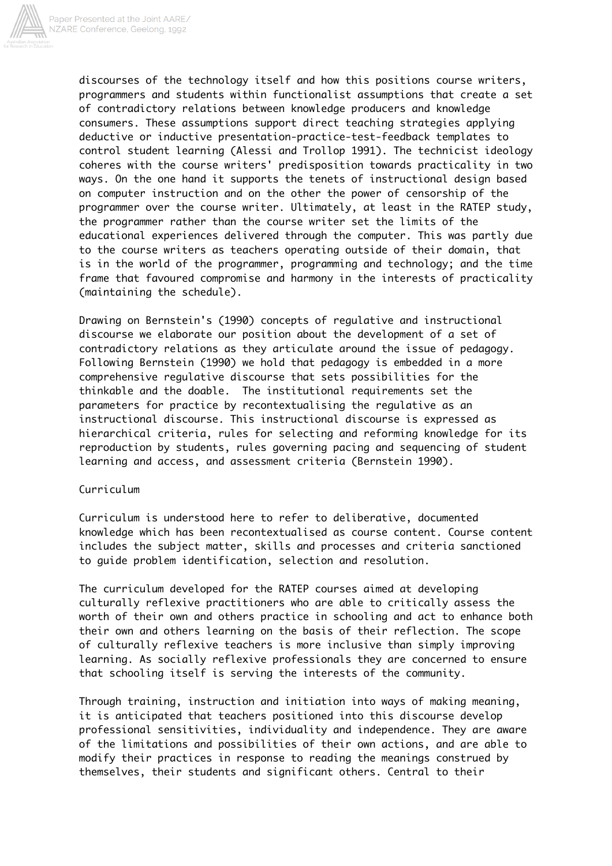

discourses of the technology itself and how this positions course writers, programmers and students within functionalist assumptions that create a set of contradictory relations between knowledge producers and knowledge consumers. These assumptions support direct teaching strategies applying deductive or inductive presentation-practice-test-feedback templates to control student learning (Alessi and Trollop 1991). The technicist ideology coheres with the course writers' predisposition towards practicality in two ways. On the one hand it supports the tenets of instructional design based on computer instruction and on the other the power of censorship of the programmer over the course writer. Ultimately, at least in the RATEP study, the programmer rather than the course writer set the limits of the educational experiences delivered through the computer. This was partly due to the course writers as teachers operating outside of their domain, that is in the world of the programmer, programming and technology; and the time frame that favoured compromise and harmony in the interests of practicality (maintaining the schedule).

Drawing on Bernstein's (1990) concepts of regulative and instructional discourse we elaborate our position about the development of a set of contradictory relations as they articulate around the issue of pedagogy. Following Bernstein (1990) we hold that pedagogy is embedded in a more comprehensive regulative discourse that sets possibilities for the thinkable and the doable. The institutional requirements set the parameters for practice by recontextualising the regulative as an instructional discourse. This instructional discourse is expressed as hierarchical criteria, rules for selecting and reforming knowledge for its reproduction by students, rules governing pacing and sequencing of student learning and access, and assessment criteria (Bernstein 1990).

## Curriculum

Curriculum is understood here to refer to deliberative, documented knowledge which has been recontextualised as course content. Course content includes the subject matter, skills and processes and criteria sanctioned to guide problem identification, selection and resolution.

The curriculum developed for the RATEP courses aimed at developing culturally reflexive practitioners who are able to critically assess the worth of their own and others practice in schooling and act to enhance both their own and others learning on the basis of their reflection. The scope of culturally reflexive teachers is more inclusive than simply improving learning. As socially reflexive professionals they are concerned to ensure that schooling itself is serving the interests of the community.

Through training, instruction and initiation into ways of making meaning, it is anticipated that teachers positioned into this discourse develop professional sensitivities, individuality and independence. They are aware of the limitations and possibilities of their own actions, and are able to modify their practices in response to reading the meanings construed by themselves, their students and significant others. Central to their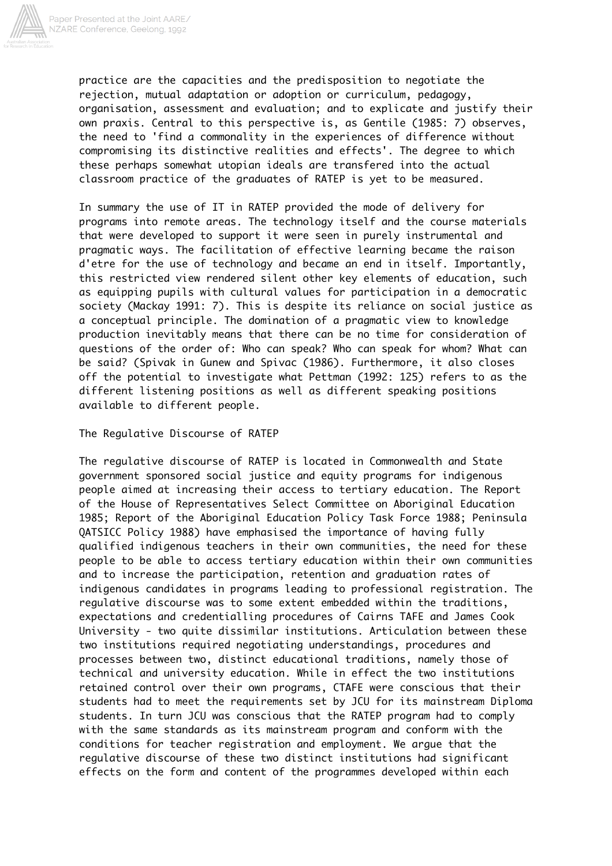

practice are the capacities and the predisposition to negotiate the rejection, mutual adaptation or adoption or curriculum, pedagogy, organisation, assessment and evaluation; and to explicate and justify their own praxis. Central to this perspective is, as Gentile (1985: 7) observes, the need to 'find a commonality in the experiences of difference without compromising its distinctive realities and effects'. The degree to which these perhaps somewhat utopian ideals are transfered into the actual classroom practice of the graduates of RATEP is yet to be measured.

In summary the use of IT in RATEP provided the mode of delivery for programs into remote areas. The technology itself and the course materials that were developed to support it were seen in purely instrumental and pragmatic ways. The facilitation of effective learning became the raison d'etre for the use of technology and became an end in itself. Importantly, this restricted view rendered silent other key elements of education, such as equipping pupils with cultural values for participation in a democratic society (Mackay 1991: 7). This is despite its reliance on social justice as a conceptual principle. The domination of a pragmatic view to knowledge production inevitably means that there can be no time for consideration of questions of the order of: Who can speak? Who can speak for whom? What can be said? (Spivak in Gunew and Spivac (1986). Furthermore, it also closes off the potential to investigate what Pettman (1992: 125) refers to as the different listening positions as well as different speaking positions available to different people.

The Regulative Discourse of RATEP

The regulative discourse of RATEP is located in Commonwealth and State government sponsored social justice and equity programs for indigenous people aimed at increasing their access to tertiary education. The Report of the House of Representatives Select Committee on Aboriginal Education 1985; Report of the Aboriginal Education Policy Task Force 1988; Peninsula QATSICC Policy 1988) have emphasised the importance of having fully qualified indigenous teachers in their own communities, the need for these people to be able to access tertiary education within their own communities and to increase the participation, retention and graduation rates of indigenous candidates in programs leading to professional registration. The regulative discourse was to some extent embedded within the traditions, expectations and credentialling procedures of Cairns TAFE and James Cook University - two quite dissimilar institutions. Articulation between these two institutions required negotiating understandings, procedures and processes between two, distinct educational traditions, namely those of technical and university education. While in effect the two institutions retained control over their own programs, CTAFE were conscious that their students had to meet the requirements set by JCU for its mainstream Diploma students. In turn JCU was conscious that the RATEP program had to comply with the same standards as its mainstream program and conform with the conditions for teacher registration and employment. We argue that the regulative discourse of these two distinct institutions had significant effects on the form and content of the programmes developed within each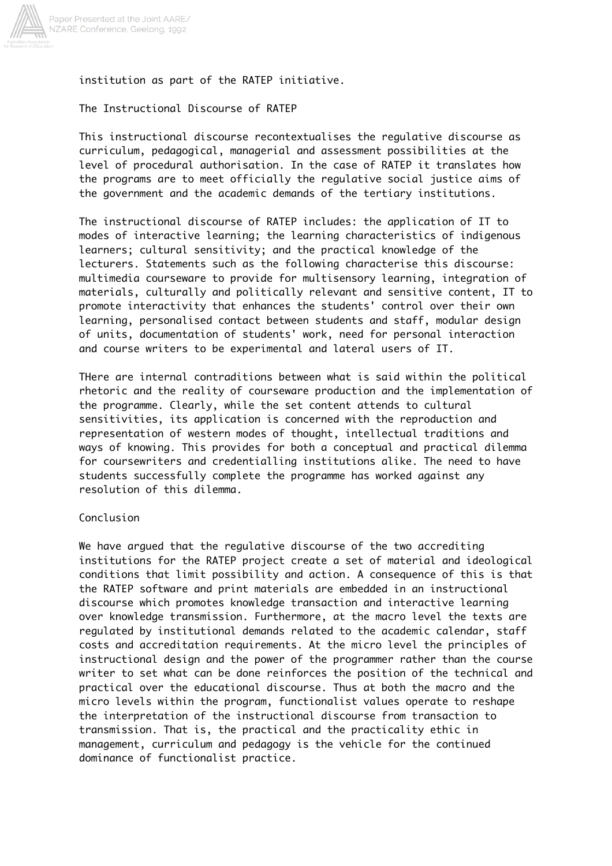

# institution as part of the RATEP initiative.

# The Instructional Discourse of RATEP

This instructional discourse recontextualises the regulative discourse as curriculum, pedagogical, managerial and assessment possibilities at the level of procedural authorisation. In the case of RATEP it translates how the programs are to meet officially the regulative social justice aims of the government and the academic demands of the tertiary institutions.

The instructional discourse of RATEP includes: the application of IT to modes of interactive learning; the learning characteristics of indigenous learners; cultural sensitivity; and the practical knowledge of the lecturers. Statements such as the following characterise this discourse: multimedia courseware to provide for multisensory learning, integration of materials, culturally and politically relevant and sensitive content, IT to promote interactivity that enhances the students' control over their own learning, personalised contact between students and staff, modular design of units, documentation of students' work, need for personal interaction and course writers to be experimental and lateral users of IT.

THere are internal contraditions between what is said within the political rhetoric and the reality of courseware production and the implementation of the programme. Clearly, while the set content attends to cultural sensitivities, its application is concerned with the reproduction and representation of western modes of thought, intellectual traditions and ways of knowing. This provides for both a conceptual and practical dilemma for coursewriters and credentialling institutions alike. The need to have students successfully complete the programme has worked against any resolution of this dilemma.

# Conclusion

We have argued that the regulative discourse of the two accrediting institutions for the RATEP project create a set of material and ideological conditions that limit possibility and action. A consequence of this is that the RATEP software and print materials are embedded in an instructional discourse which promotes knowledge transaction and interactive learning over knowledge transmission. Furthermore, at the macro level the texts are regulated by institutional demands related to the academic calendar, staff costs and accreditation requirements. At the micro level the principles of instructional design and the power of the programmer rather than the course writer to set what can be done reinforces the position of the technical and practical over the educational discourse. Thus at both the macro and the micro levels within the program, functionalist values operate to reshape the interpretation of the instructional discourse from transaction to transmission. That is, the practical and the practicality ethic in management, curriculum and pedagogy is the vehicle for the continued dominance of functionalist practice.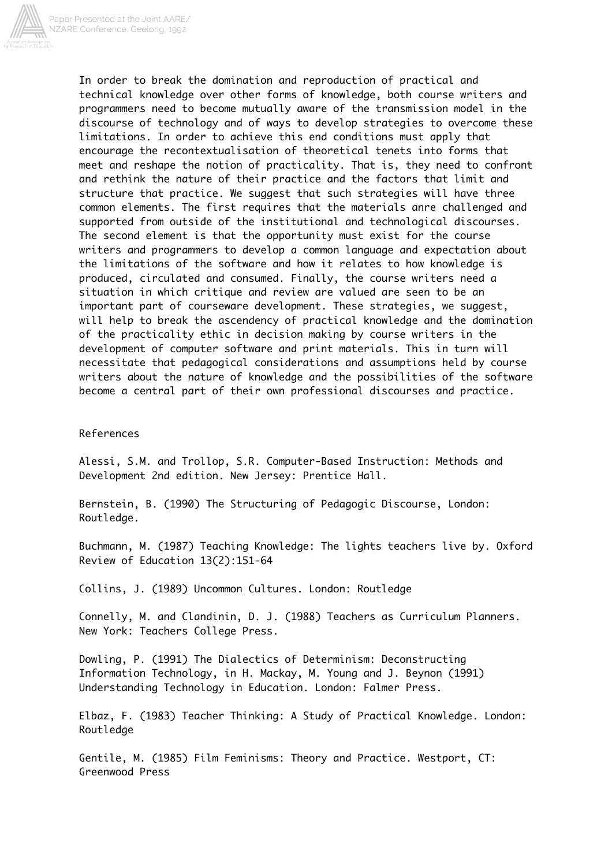

In order to break the domination and reproduction of practical and technical knowledge over other forms of knowledge, both course writers and programmers need to become mutually aware of the transmission model in the discourse of technology and of ways to develop strategies to overcome these limitations. In order to achieve this end conditions must apply that encourage the recontextualisation of theoretical tenets into forms that meet and reshape the notion of practicality. That is, they need to confront and rethink the nature of their practice and the factors that limit and structure that practice. We suggest that such strategies will have three common elements. The first requires that the materials anre challenged and supported from outside of the institutional and technological discourses. The second element is that the opportunity must exist for the course writers and programmers to develop a common language and expectation about the limitations of the software and how it relates to how knowledge is produced, circulated and consumed. Finally, the course writers need a situation in which critique and review are valued are seen to be an important part of courseware development. These strategies, we suggest, will help to break the ascendency of practical knowledge and the domination of the practicality ethic in decision making by course writers in the development of computer software and print materials. This in turn will necessitate that pedagogical considerations and assumptions held by course writers about the nature of knowledge and the possibilities of the software become a central part of their own professional discourses and practice.

#### References

Alessi, S.M. and Trollop, S.R. Computer-Based Instruction: Methods and Development 2nd edition. New Jersey: Prentice Hall.

Bernstein, B. (1990) The Structuring of Pedagogic Discourse, London: Routledge.

Buchmann, M. (1987) Teaching Knowledge: The lights teachers live by. Oxford Review of Education 13(2):151-64

Collins, J. (1989) Uncommon Cultures. London: Routledge

Connelly, M. and Clandinin, D. J. (1988) Teachers as Curriculum Planners. New York: Teachers College Press.

Dowling, P. (1991) The Dialectics of Determinism: Deconstructing Information Technology, in H. Mackay, M. Young and J. Beynon (1991) Understanding Technology in Education. London: Falmer Press.

Elbaz, F. (1983) Teacher Thinking: A Study of Practical Knowledge. London: Routledge

Gentile, M. (1985) Film Feminisms: Theory and Practice. Westport, CT: Greenwood Press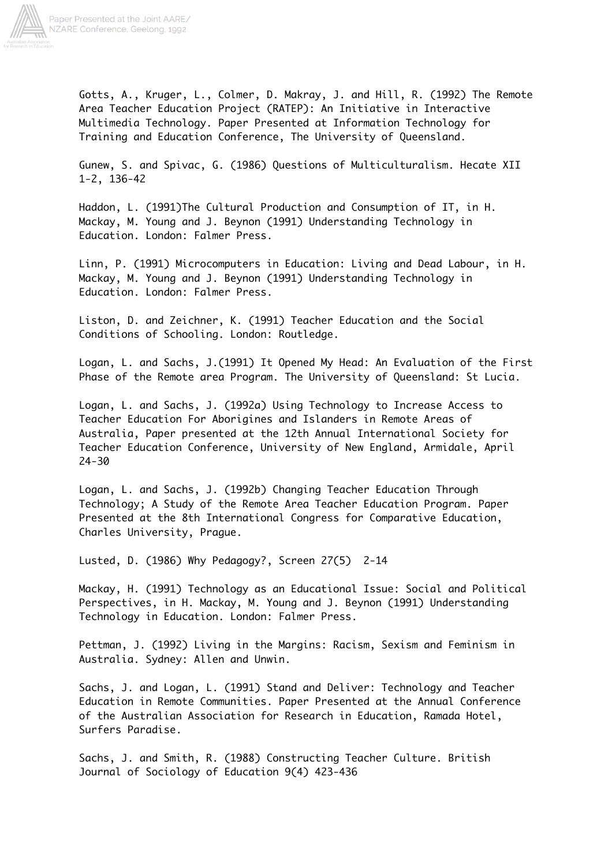

Gotts, A., Kruger, L., Colmer, D. Makray, J. and Hill, R. (1992) The Remote Area Teacher Education Project (RATEP): An Initiative in Interactive Multimedia Technology. Paper Presented at Information Technology for Training and Education Conference, The University of Queensland.

Gunew, S. and Spivac, G. (1986) Questions of Multiculturalism. Hecate XII 1-2, 136-42

Haddon, L. (1991)The Cultural Production and Consumption of IT, in H. Mackay, M. Young and J. Beynon (1991) Understanding Technology in Education. London: Falmer Press.

Linn, P. (1991) Microcomputers in Education: Living and Dead Labour, in H. Mackay, M. Young and J. Beynon (1991) Understanding Technology in Education. London: Falmer Press.

Liston, D. and Zeichner, K. (1991) Teacher Education and the Social Conditions of Schooling. London: Routledge.

Logan, L. and Sachs, J.(1991) It Opened My Head: An Evaluation of the First Phase of the Remote area Program. The University of Queensland: St Lucia.

Logan, L. and Sachs, J. (1992a) Using Technology to Increase Access to Teacher Education For Aborigines and Islanders in Remote Areas of Australia, Paper presented at the 12th Annual International Society for Teacher Education Conference, University of New England, Armidale, April 24-30

Logan, L. and Sachs, J. (1992b) Changing Teacher Education Through Technology; A Study of the Remote Area Teacher Education Program. Paper Presented at the 8th International Congress for Comparative Education, Charles University, Prague.

Lusted, D. (1986) Why Pedagogy?, Screen 27(5) 2-14

Mackay, H. (1991) Technology as an Educational Issue: Social and Political Perspectives, in H. Mackay, M. Young and J. Beynon (1991) Understanding Technology in Education. London: Falmer Press.

Pettman, J. (1992) Living in the Margins: Racism, Sexism and Feminism in Australia. Sydney: Allen and Unwin.

Sachs, J. and Logan, L. (1991) Stand and Deliver: Technology and Teacher Education in Remote Communities. Paper Presented at the Annual Conference of the Australian Association for Research in Education, Ramada Hotel, Surfers Paradise.

Sachs, J. and Smith, R. (1988) Constructing Teacher Culture. British Journal of Sociology of Education 9(4) 423-436